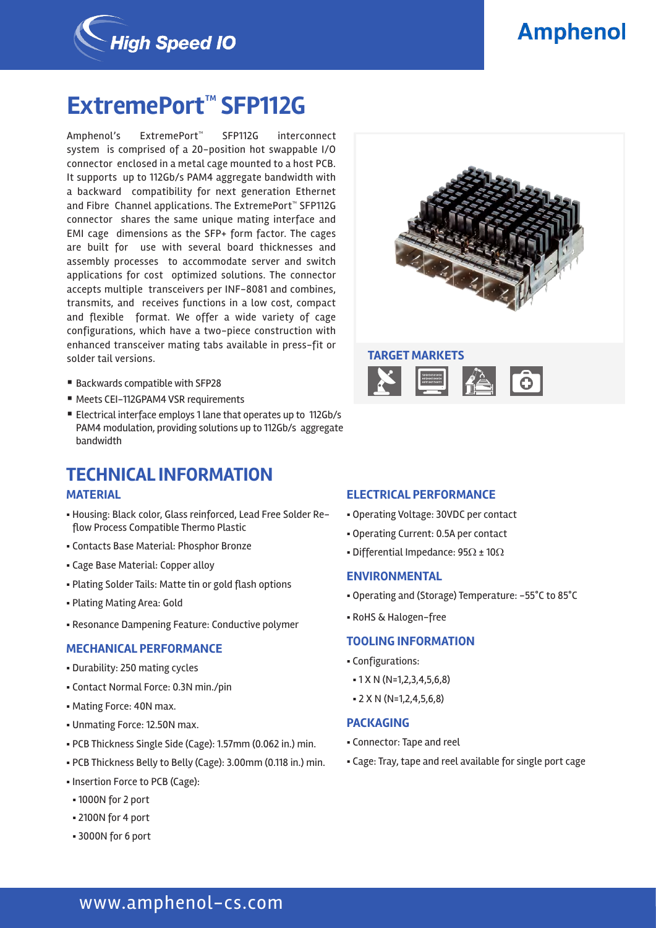

# **Amphenol**

# **ExtremePort™ SFP112G**

Amphenol's ExtremePort™ SFP112G interconnect system is comprised of a 20-position hot swappable I/O connector enclosed in a metal cage mounted to a host PCB. It supports up to 112Gb/s PAM4 aggregate bandwidth with a backward compatibility for next generation Ethernet and Fibre Channel applications. The ExtremePort™ SFP112G connector shares the same unique mating interface and EMI cage dimensions as the SFP+ form factor. The cages are built for use with several board thicknesses and assembly processes to accommodate server and switch applications for cost optimized solutions. The connector accepts multiple transceivers per INF-8081 and combines, transmits, and receives functions in a low cost, compact and flexible format. We offer a wide variety of cage configurations, which have a two-piece construction with enhanced transceiver mating tabs available in press-fit or solder tail versions.

- Backwards compatible with SFP28
- Meets CEI-112GPAM4 VSR requirements
- Electrical interface employs 1 lane that operates up to 112Gb/s PAM4 modulation, providing solutions up to 112Gb/s aggregate bandwidth

## **TECHNICAL INFORMATION**

#### **MATERIAL**

- § Housing: Black color, Glass reinforced, Lead Free Solder Reflow Process Compatible Thermo Plastic
- § Contacts Base Material: Phosphor Bronze
- § Cage Base Material: Copper alloy
- § Plating Solder Tails: Matte tin or gold flash options
- § Plating Mating Area: Gold
- § Resonance Dampening Feature: Conductive polymer

### **MECHANICAL PERFORMANCE**

- § Durability: 250 mating cycles
- § Contact Normal Force: 0.3N min./pin
- Mating Force: 40N max.
- § Unmating Force: 12.50N max.
- § PCB Thickness Single Side (Cage): 1.57mm (0.062 in.) min.
- § PCB Thickness Belly to Belly (Cage): 3.00mm (0.118 in.) min.
- Insertion Force to PCB (Cage):
	- § 1000N for 2 port
	- § 2100N for 4 port
	- § 3000N for 6 port



## **TARGET MARKETS**



#### **ELECTRICAL PERFORMANCE**

- § Operating Voltage: 30VDC per contact
- § Operating Current: 0.5A per contact
- Differential Impedance:  $95\Omega \pm 10\Omega$

## **ENVIRONMENTAL**

- § Operating and (Storage) Temperature: -55°C to 85°C
- § RoHS & Halogen-free

### **TOOLING INFORMATION**

- § Configurations:
- § 1 X N (N=1,2,3,4,5,6,8)
- § 2 X N (N=1,2,4,5,6,8)

#### **PACKAGING**

- § Connector: Tape and reel
- § Cage: Tray, tape and reel available for single port cage

# www.amphenol-cs.com